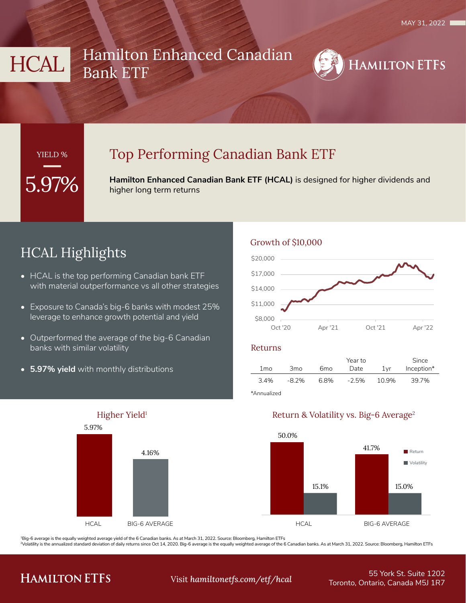# HCAL Hamilton Enhanced Canadian Bank ETF



### YIELD %

## Top Performing Canadian Bank ETF

**Hamilton Enhanced Canadian Bank ETF (HCAL)** is designed for higher dividends and higher long term returns

# HCAL Highlights

- HCAL is the top performing Canadian bank ETF with material outperformance vs all other strategies
- Exposure to Canada's big-6 banks with modest 25% leverage to enhance growth potential and yield
- Outperformed the average of the big-6 Canadian banks with similar volatility
- **• 5.97% yield** with monthly distributions



#### Growth of \$10,000



#### Returns

|                 |                 |      | Year to |       | Since      |
|-----------------|-----------------|------|---------|-------|------------|
| 1 <sub>mo</sub> | 3 <sub>mo</sub> | 6mo  | Date    | 1vr   | Inception* |
| 3.4%            | -8.2%           | 6.8% | $-2.5%$ | 10.9% | 39.7%      |
|                 |                 |      |         |       |            |

\*Annualized

#### Return & Volatility vs. Big-6 Average2



1Big-6 average is the equally weighted average yield of the 6 Canadian banks. As at March 31, 2022. Source: Bloomberg, Hamilton ETFs

2Volatility is the annualized standard deviation of daily returns since Oct 14, 2020. Big-6 average is the equally weighted average of the 6 Canadian banks. As at March 31, 2022. Source: Bloomberg, Hamilton ETFs

## **HAMILTON ETFS**

55 York St. Suite 1202 Toronto, Ontario, Canada M5J 1R7 Visit *hamiltonetfs.com/etf/hcal*